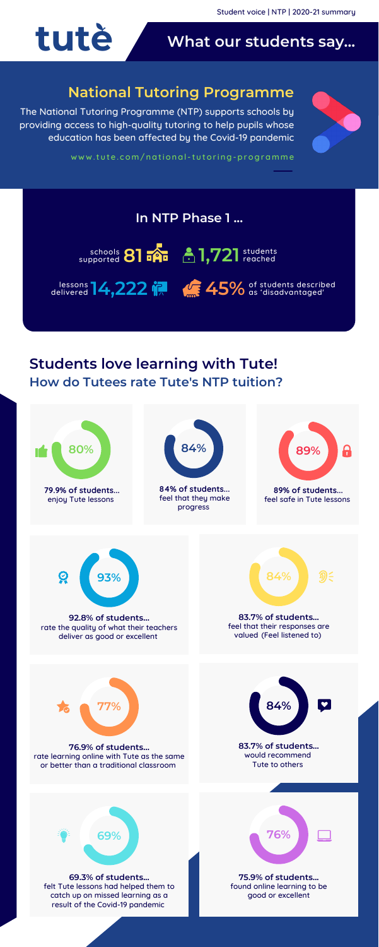# **Students love learning with Tute! How do Tutees rate Tute's NTP tuition?**

# **What our students say...**

The National Tutoring Programme (NTP) supports schools by providing access to high-quality tutoring to help pupils whose education has been affected by the Covid-19 pandemic



www.tute.com/national-tutori[ng-programme](http://www.tute.com/national-tutoring-programme)



# **National Tutoring Programme**

![](_page_0_Figure_7.jpeg)

![](_page_0_Figure_9.jpeg)

![](_page_0_Picture_1.jpeg)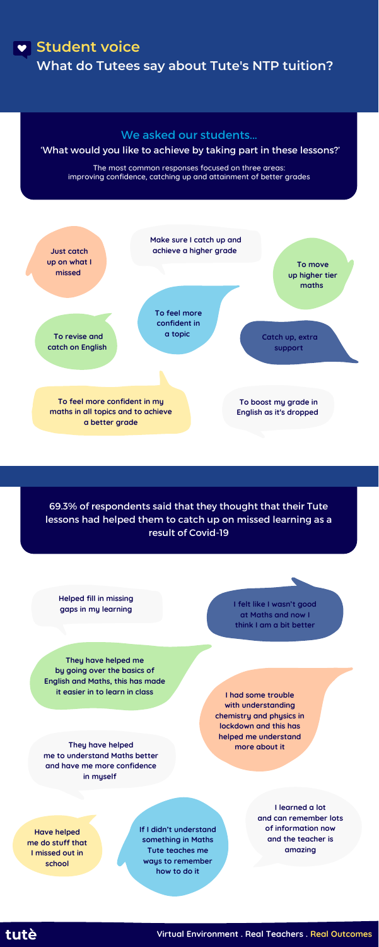## **Student voice**

**What do Tutees say about Tute's NTP tuition?**

### We asked our students...

### 'What would you like to achieve by taking part in these lessons?'

**Virtual Environment . Real Teachers . Real Outcomes**

The most common responses focused on three areas: improving confidence, catching up and attainment of better grades

![](_page_1_Figure_5.jpeg)

69.3% of respondents said that they thought that their Tute lessons had helped them to catch up on missed learning as a result of Covid-19

> **I had some trouble with understanding chemistry and physics in lockdown and this has helped me understand more about it**

**They have helped me by going over the basics of English and Maths, this has made it easier in to learn in class**

> **If I didn't understand something in Maths Tute teaches me ways to remember how to do it**

**I learned a lot and can remember lots of information now and the teacher is amazing**

![](_page_1_Picture_15.jpeg)

**They have helped me to understand Maths better and have me more confidence in myself**

**I felt like I wasn't good at Maths and now I think I am a bit better**

#### **Helped fill in missing gaps in my learning**

**Have helped me do stuff that I missed out in school**